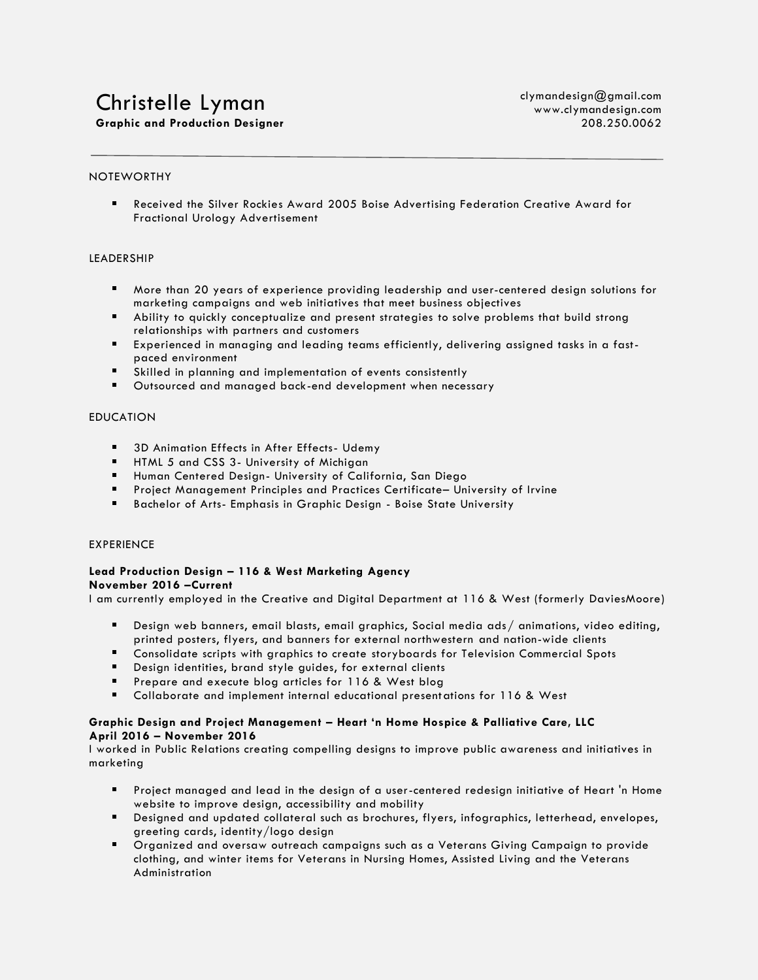# Christelle Lyman **Graphic and Production Designer**

#### NOTEWORTHY

Received the Silver Rockies Award 2005 Boise Advertising Federation Creative Award for Fractional Urology Advertisement

#### LEADERSHIP

- More than 20 years of experience providing leadership and user-centered design solutions for marketing campaigns and web initiatives that meet business objectives
- Ability to quickly conceptualize and present strategies to solve problems that build strong relationships with partners and customers
- Experienced in managing and leading teams efficiently, delivering assigned tasks in a fastpaced environment
- Skilled in planning and implementation of events consistently
- Outsourced and managed back-end development when necessary

### EDUCATION

- **5** 3D Animation Effects in After Effects- Udemy
- **HTML 5 and CSS 3- University of Michigan**
- Human Centered Design- University of California, San Diego
- **Project Management Principles and Practices Certificate- University of Irvine**
- Bachelor of Arts- Emphasis in Graphic Design Boise State University

#### EXPERIENCE

#### **Lead Production Design – 116 & West Marketing Agency November 2016 –Current**

I am currently employed in the Creative and Digital Department at 116 & West (formerly DaviesMoore)

- $\blacksquare$ Design web banners, email blasts, email graphics, Social media ads/ animations, video editing, printed posters, flyers, and banners for external northwestern and nation-wide clients
- Consolidate scripts with graphics to create storyboards for Television Commercial Spots
- Design identities, brand style guides, for external clients
- **Prepare and execute blog articles for 116 & West blog**
- Collaborate and implement internal educational presentations for 116 & West

#### **Graphic Design and Project Management – Heart 'n Home Hospice & Palliative Care, LLC April 2016 – November 2016**

I worked in Public Relations creating compelling designs to improve public awareness and initiatives in marketing

- Project managed and lead in the design of a user-centered redesign initiative of Heart 'n Home website to improve design, accessibility and mobility
- Designed and updated collateral such as brochures, flyers, infographics, letterhead, envelopes, greeting cards, identity/logo design
- Organized and oversaw outreach campaigns such as a Veterans Giving Campaign to provide clothing, and winter items for Veterans in Nursing Homes, Assisted Living and the Veterans Administration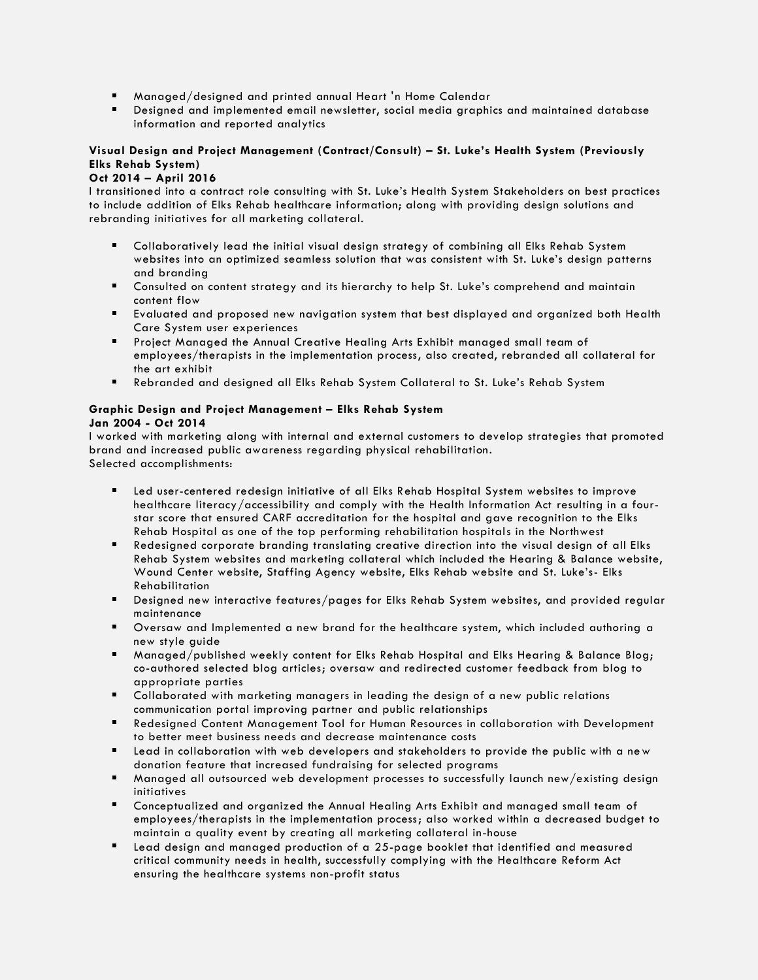- Managed/designed and printed annual Heart 'n Home Calendar
- Designed and implemented email newsletter, social media graphics and maintained database information and reported analytics

# **Visual Design and Project Management (Contract/Consult) – St. Luke's Health System (Previously Elks Rehab System)**

# **Oct 2014 – April 2016**

I transitioned into a contract role consulting with St. Luke's Health System Stakeholders on best practices to include addition of Elks Rehab healthcare information; along with providing design solutions and rebranding initiatives for all marketing collateral.

- Collaboratively lead the initial visual design strategy of combining all Elks Rehab System websites into an optimized seamless solution that was consistent with St. Luke's design patterns and branding
- Consulted on content strategy and its hierarchy to help St. Luke's comprehend and maintain content flow
- Evaluated and proposed new navigation system that best displayed and organized both Health Care System user experiences
- **Project Managed the Annual Creative Healing Arts Exhibit managed small team of** employees/therapists in the implementation process, also created, rebranded all collateral for the art exhibit
- Rebranded and designed all Elks Rehab System Collateral to St. Luke's Rehab System

#### **Graphic Design and Project Management – Elks Rehab System Jan 2004 - Oct 2014**

I worked with marketing along with internal and external customers to develop strategies that promoted brand and increased public awareness regarding physical rehabilitation. Selected accomplishments:

- Led user-centered redesign initiative of all Elks Rehab Hospital System websites to improve healthcare literacy/accessibility and comply with the Health Information Act resulting in a fourstar score that ensured CARF accreditation for the hospital and gave recognition to the Elks Rehab Hospital as one of the top performing rehabilitation hospitals in the Northwest
- Redesigned corporate branding translating creative direction into the visual design of all Elks Rehab System websites and marketing collateral which included the Hearing & Balance website, Wound Center website, Staffing Agency website, Elks Rehab website and St. Luke's- Elks Rehabilitation
- Designed new interactive features/pages for Elks Rehab System websites, and provided regular maintenance
- Oversaw and Implemented a new brand for the healthcare system, which included authoring a new style guide
- Managed/published weekly content for Elks Rehab Hospital and Elks Hearing & Balance Blog; co-authored selected blog articles; oversaw and redirected customer feedback from blog to appropriate parties
- Collaborated with marketing managers in leading the design of a new public relations communication portal improving partner and public relationships
- Redesigned Content Management Tool for Human Resources in collaboration with Development to better meet business needs and decrease maintenance costs
- Lead in collaboration with web developers and stakeholders to provide the public with a new donation feature that increased fundraising for selected programs
- Managed all outsourced web development processes to successfully launch new/existing design initiatives
- Conceptualized and organized the Annual Healing Arts Exhibit and managed small team of employees/therapists in the implementation process; also worked within a decreased budget to maintain a quality event by creating all marketing collateral in-house
- Lead design and managed production of a 25-page booklet that identified and measured critical community needs in health, successfully complying with the Healthcare Reform Act ensuring the healthcare systems non-profit status